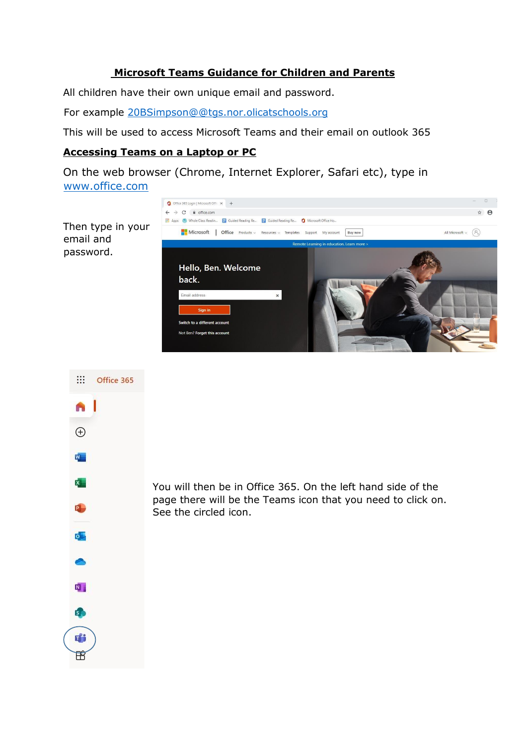#### **Microsoft Teams Guidance for Children and Parents**

All children have their own unique email and password.

For example 20BSimpson@@tgs.nor.olicatschools.org

This will be used to access Microsoft Teams and their email on outlook 365

#### **Accessing Teams on a Laptop or PC**

On the web browser (Chrome, Internet Explorer, Safari etc), type in [www.office.com](http://www.office.com/)



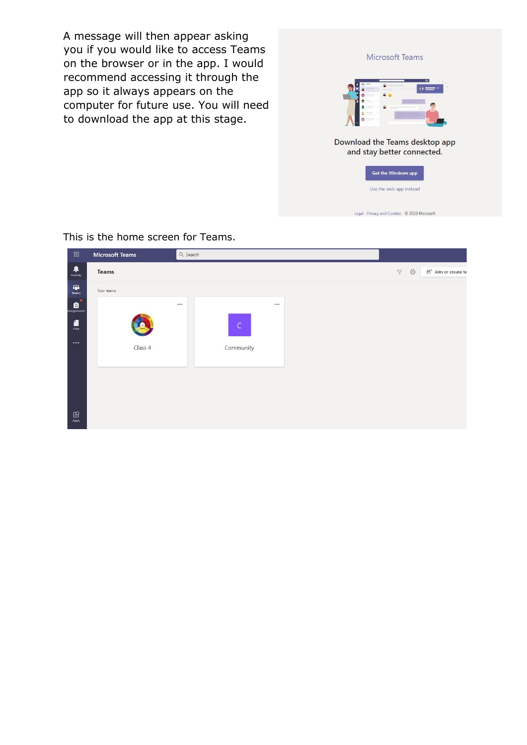A message will then appear asking you if you would like to access Teams on the browser or in the app. I would recommend accessing it through the app so it always appears on the computer for future use. You will need to download the app at this stage.

| Microsoft leams                            |
|--------------------------------------------|
| $\bullet$<br>A<br>kB.                      |
| Download the Teams desktop app             |
| and stay better connected.                 |
| <b>Get the Windows app</b>                 |
| Use the web app instead                    |
| Legal Privacy and Cookies © 2020 Microsoft |
|                                            |

**B** Microsoft Teams Q Search  $\begin{array}{c}\n\bullet \\
\bullet \\
\text{Activity}\n\end{array}$ Teams  $\triangledown$   $\oslash$   $\oslash$   $\oslash$   $\oslash$  Join or create te iji<br>Teams Your teams  $\mathbf{e}^{\mathbf{r}}$ ... ...  $\frac{1}{\sin \theta}$  $\overline{C}$ Class 4 Community  $\bigoplus_{\text{Apps}}% {\displaystyle\bigoplus_{\text{Apps}}% {\displaystyle\bigoplus_{\text{Apps}}% {\displaystyle\bigoplus_{\text{Apps}}% {\displaystyle\bigoplus_{\text{Apps}}% {\displaystyle\bigoplus_{\text{Apps}}% {\displaystyle\bigoplus_{\text{Apps}}% {\displaystyle\bigoplus_{\text{Apps}}% {\displaystyle\bigoplus_{\text{Apps}}% {\displaystyle\bigoplus_{\text{Apps}}% {\displaystyle\bigoplus_{\text{Apps}}% {\displaystyle\bigoplus_{\text{Apps}}% {\displaystyle\bigoplus_{\text{Apps}}% {\displaystyle\bigoplus_{\text{Apps}}% {\displaystyle\bigoplus_{\text{Apps$ 

This is the home screen for Teams.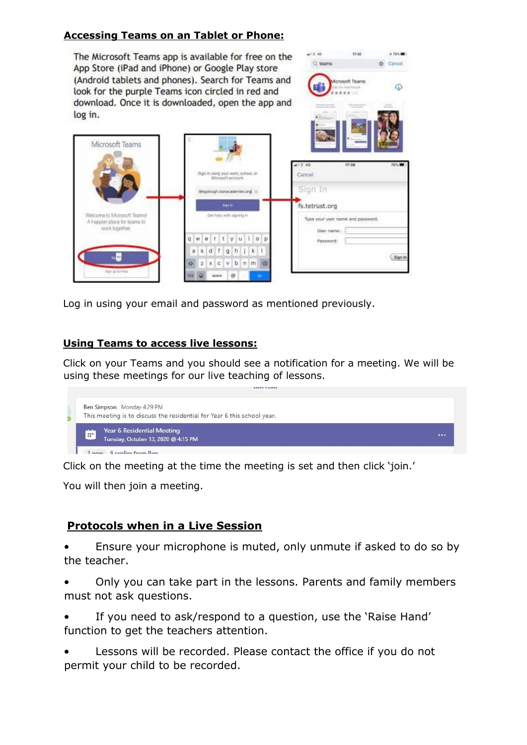#### **Accessing Teams on an Tablet or Phone:**

The Microsoft Teams app is available for free on the App Store (iPad and iPhone) or Google Play store (Android tablets and phones). Search for Teams and look for the purple Teams icon circled in red and download. Once it is downloaded, open the app and log in.



 $-12.30$ 

Q teams

 $72.22$ 

 $-4785.00$ 

**O** Cancel

Log in using your email and password as mentioned previously.

#### **Using Teams to access live lessons:**

Click on your Teams and you should see a notification for a meeting. We will be using these meetings for our live teaching of lessons.



Click on the meeting at the time the meeting is set and then click 'join.'

You will then join a meeting.

#### **Protocols when in a Live Session**

• Ensure your microphone is muted, only unmute if asked to do so by the teacher.

• Only you can take part in the lessons. Parents and family members must not ask questions.

If you need to ask/respond to a question, use the 'Raise Hand' function to get the teachers attention.

Lessons will be recorded. Please contact the office if you do not permit your child to be recorded.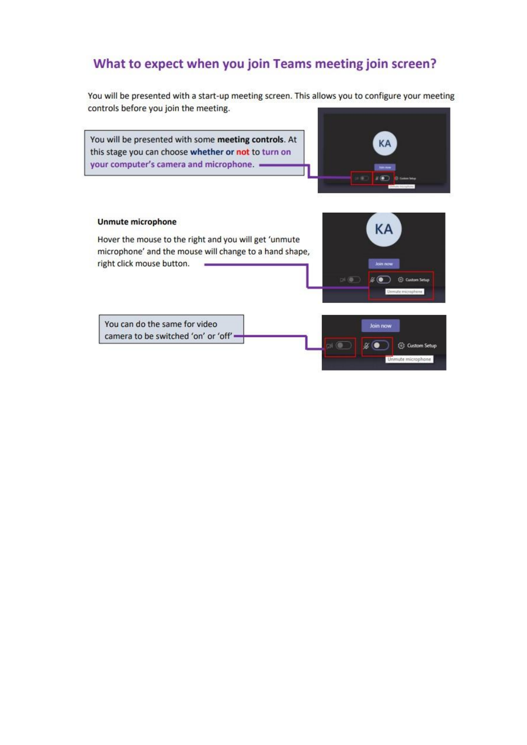## What to expect when you join Teams meeting join screen?

You will be presented with a start-up meeting screen. This allows you to configure your meeting controls before you join the meeting.

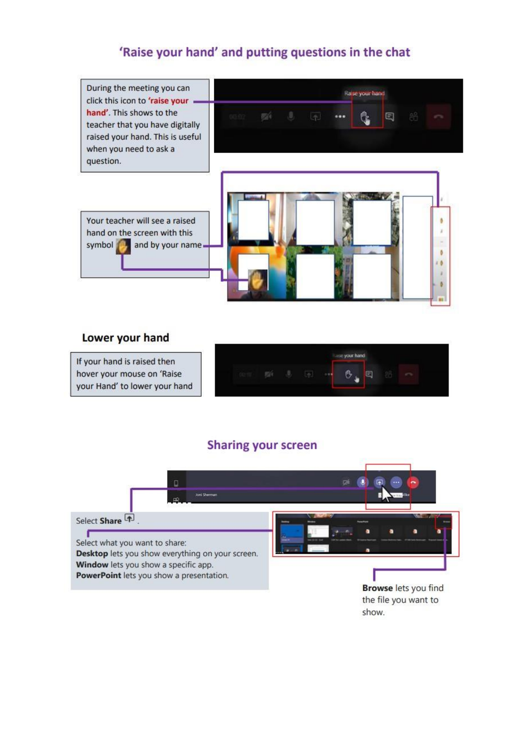### 'Raise your hand' and putting questions in the chat



#### Lower your hand

If your hand is raised then hover your mouse on 'Raise your Hand' to lower your hand

|   |  | ance your hand |   |     |  |
|---|--|----------------|---|-----|--|
| - |  | u              | s | $-$ |  |

## **Sharing your screen**

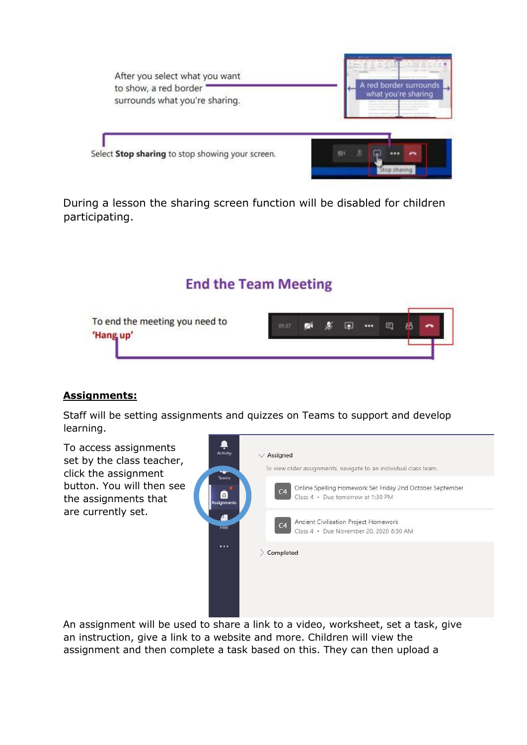

During a lesson the sharing screen function will be disabled for children participating.

## **End the Team Meeting**



#### **Assignments:**

Staff will be setting assignments and quizzes on Teams to support and develop learning.



An assignment will be used to share a link to a video, worksheet, set a task, give an instruction, give a link to a website and more. Children will view the assignment and then complete a task based on this. They can then upload a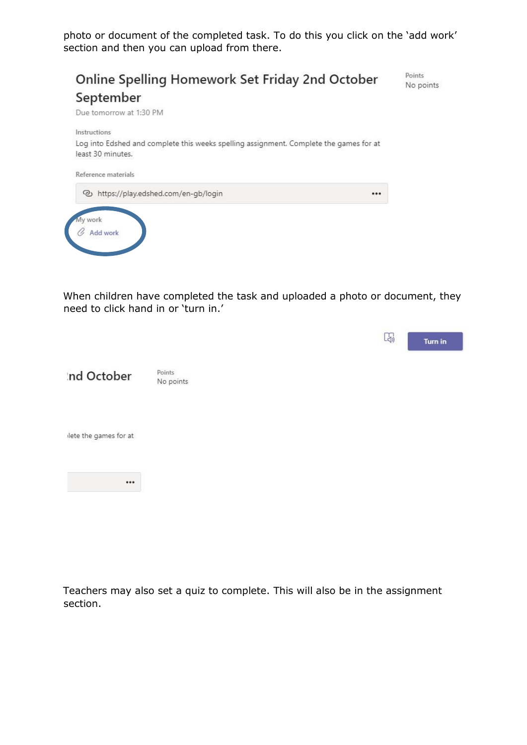photo or document of the completed task. To do this you click on the 'add work' section and then you can upload from there.



When children have completed the task and uploaded a photo or document, they need to click hand in or 'turn in.'

|                       |                     |  | $\frac{1}{2}$ | Turn in |
|-----------------------|---------------------|--|---------------|---------|
| Ind October           | Points<br>No points |  |               |         |
| lete the games for at |                     |  |               |         |
| $$                    |                     |  |               |         |

Teachers may also set a quiz to complete. This will also be in the assignment section.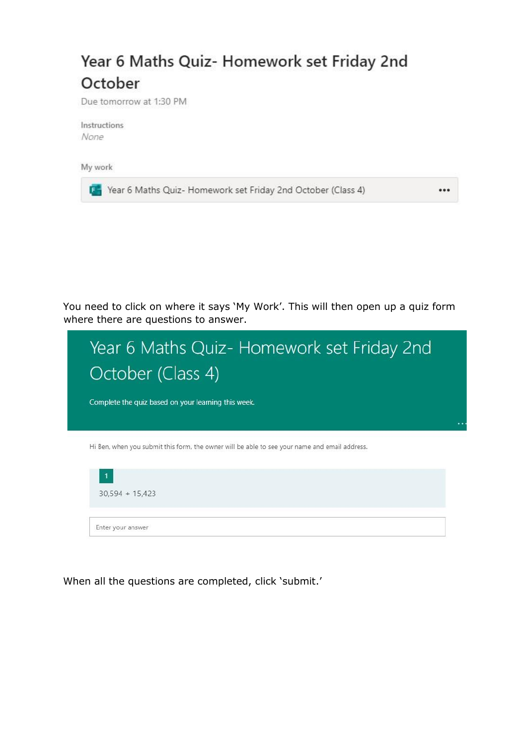# Year 6 Maths Quiz- Homework set Friday 2nd October

Due tomorrow at 1:30 PM

Instructions None

My work

[84] Year 6 Maths Quiz- Homework set Friday 2nd October (Class 4)

You need to click on where it says 'My Work'. This will then open up a quiz form where there are questions to answer.

...

| Year 6 Maths Quiz- Homework set Friday 2nd<br>October (Class 4)                               |  |
|-----------------------------------------------------------------------------------------------|--|
| Complete the quiz based on your learning this week.                                           |  |
|                                                                                               |  |
| Hi Ben, when you submit this form, the owner will be able to see your name and email address. |  |
| $\mathbf{1}$<br>$30.594 + 15.423$                                                             |  |
| Enfer your answer                                                                             |  |

When all the questions are completed, click 'submit.'